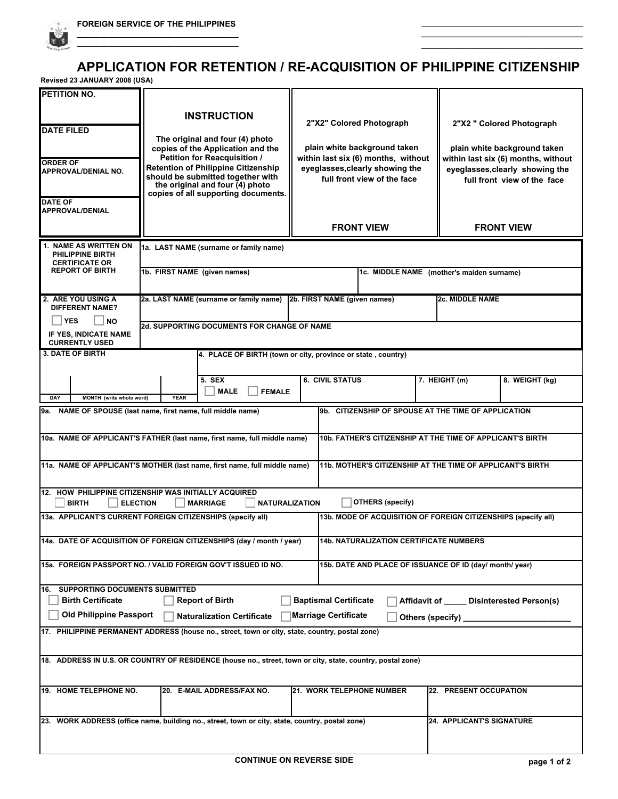

**\_\_\_\_\_\_\_\_\_\_\_\_\_\_\_\_\_\_\_\_\_\_\_\_\_\_\_\_\_\_\_\_\_\_\_\_**

**\_\_\_\_\_\_\_\_\_\_\_\_\_\_\_\_\_\_\_\_\_\_\_\_\_\_\_\_\_\_\_\_\_\_\_\_**

**\_\_\_\_\_\_\_\_\_\_\_\_\_\_\_\_\_\_\_\_\_\_\_\_\_\_\_\_\_\_\_\_\_\_\_\_**

**Revised 23 JANUARY 2008 (USA)**

 $\mathcal{L}$ 

| PETITION NO.                                                              | <b>INSTRUCTION</b>                                                                                                                                          |                                                                     |                                                                     |
|---------------------------------------------------------------------------|-------------------------------------------------------------------------------------------------------------------------------------------------------------|---------------------------------------------------------------------|---------------------------------------------------------------------|
| <b>DATE FILED</b>                                                         |                                                                                                                                                             | 2"X2" Colored Photograph                                            | 2"X2 " Colored Photograph                                           |
|                                                                           | The original and four (4) photo<br>copies of the Application and the<br>Petition for Reacquisition /                                                        | plain white background taken<br>within last six (6) months, without | plain white background taken<br>within last six (6) months, without |
| <b>ORDER OF</b><br><b>APPROVAL/DENIAL NO.</b>                             | <b>Retention of Philippine Citizenship</b><br>should be submitted together with<br>the original and four $(4)$ photo<br>copies of all supporting documents. | eyeglasses, clearly showing the<br>full front view of the face      | eyeglasses, clearly showing the<br>full front view of the face      |
| <b>DATE OF</b><br><b>APPROVAL/DENIAL</b>                                  |                                                                                                                                                             | <b>FRONT VIEW</b>                                                   | <b>FRONT VIEW</b>                                                   |
| <b>1. NAME AS WRITTEN ON</b><br>PHILIPPINE BIRTH<br><b>CERTIFICATE OR</b> | 1a. LAST NAME (surname or family name)                                                                                                                      |                                                                     |                                                                     |
| <b>REPORT OF BIRTH</b>                                                    | 1b. FIRST NAME (given names)                                                                                                                                |                                                                     | 1c. MIDDLE NAME (mother's maiden surname)                           |
| 2. ARE YOU USING A<br><b>DIFFERENT NAME?</b>                              | 2a. LAST NAME (surname or family name) 2b. FIRST NAME (given names)                                                                                         |                                                                     | <b>2c. MIDDLE NAME</b>                                              |
| <b>YES</b><br>∣ NO<br>IF YES, INDICATE NAME<br><b>CURRENTLY USED</b>      | <b>2d. SUPPORTING DOCUMENTS FOR CHANGE OF NAME</b>                                                                                                          |                                                                     |                                                                     |
| <b>3. DATE OF BIRTH</b>                                                   |                                                                                                                                                             | 4. PLACE OF BIRTH (town or city, province or state, country)        |                                                                     |
| MONTH (write whole word)<br>DAY                                           | <b>5. SEX</b><br><b>MALE</b><br><b>FEMALE</b><br><b>YEAR</b>                                                                                                | <b>6. CIVIL STATUS</b>                                              | 7. HEIGHT (m)<br>8. WEIGHT (kg)                                     |
|                                                                           | 9a. NAME OF SPOUSE (last name, first name, full middle name)                                                                                                | 9b. CITIZENSHIP OF SPOUSE AT THE TIME OF APPLICATION                |                                                                     |
|                                                                           | 10a. NAME OF APPLICANT'S FATHER (last name, first name, full middle name)                                                                                   |                                                                     | 10b. FATHER'S CITIZENSHIP AT THE TIME OF APPLICANT'S BIRTH          |
|                                                                           | 11a. NAME OF APPLICANT'S MOTHER (last name, first name, full middle name)                                                                                   |                                                                     | 11b. MOTHER'S CITIZENSHIP AT THE TIME OF APPLICANT'S BIRTH          |
| <b>BIRTH</b>                                                              | 12. HOW PHILIPPINE CITIZENSHIP WAS INITIALLY ACQUIRED<br><b>ELECTION</b><br><b>MARRIAGE</b><br><b>NATURALIZATION</b>                                        | <b>OTHERS (specify)</b>                                             |                                                                     |
|                                                                           | 13a. APPLICANT'S CURRENT FOREIGN CITIZENSHIPS (specify all)                                                                                                 |                                                                     | 13b. MODE OF ACQUISITION OF FOREIGN CITIZENSHIPS (specify all)      |
|                                                                           | 14a. DATE OF ACQUISITION OF FOREIGN CITIZENSHIPS (day / month / year)                                                                                       | 14b. NATURALIZATION CERTIFICATE NUMBERS                             |                                                                     |
| <b>16. SUPPORTING DOCUMENTS SUBMITTED</b>                                 | 15a. FOREIGN PASSPORT NO. / VALID FOREIGN GOV'T ISSUED ID NO.                                                                                               | 15b. DATE AND PLACE OF ISSUANCE OF ID (day/ month/ year)            |                                                                     |
| <b>Birth Certificate</b><br><b>Old Philippine Passport</b>                | <b>Report of Birth</b><br><b>Naturalization Certificate</b>                                                                                                 | <b>Baptismal Certificate</b><br><b>Marriage Certificate</b>         | Affidavit of Disinterested Person(s)<br>Others (specify)            |
|                                                                           | 17. PHILIPPINE PERMANENT ADDRESS (house no., street, town or city, state, country, postal zone)                                                             |                                                                     |                                                                     |
|                                                                           | 18. ADDRESS IN U.S. OR COUNTRY OF RESIDENCE (house no., street, town or city, state, country, postal zone)                                                  |                                                                     |                                                                     |
| 19. HOME TELEPHONE NO.                                                    | 20. E-MAIL ADDRESS/FAX NO.                                                                                                                                  | 21. WORK TELEPHONE NUMBER                                           | 22. PRESENT OCCUPATION                                              |
|                                                                           | [23. WORK ADDRESS (office name, building no., street, town or city, state, country, postal zone)                                                            |                                                                     | <b>24. APPLICANT'S SIGNATURE</b>                                    |
|                                                                           |                                                                                                                                                             |                                                                     |                                                                     |